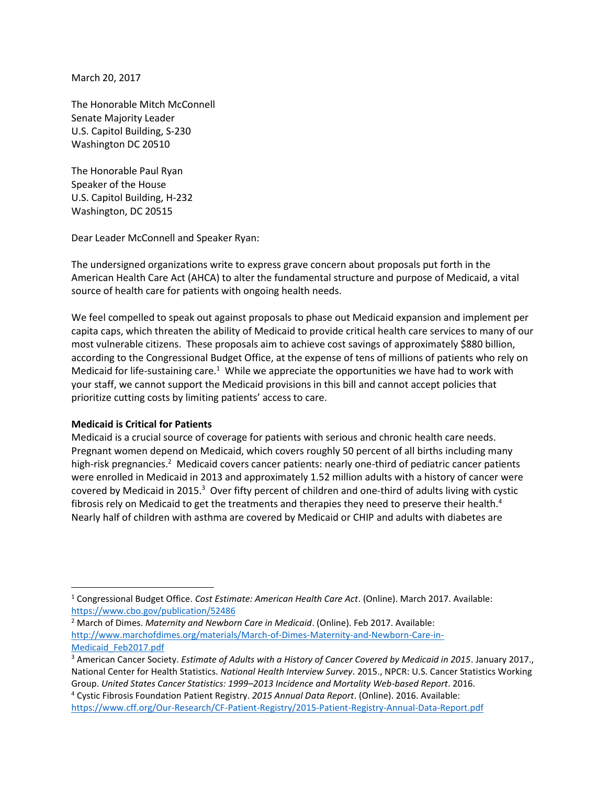March 20, 2017

The Honorable Mitch McConnell Senate Majority Leader U.S. Capitol Building, S-230 Washington DC 20510

The Honorable Paul Ryan Speaker of the House U.S. Capitol Building, H-232 Washington, DC 20515

Dear Leader McConnell and Speaker Ryan:

The undersigned organizations write to express grave concern about proposals put forth in the American Health Care Act (AHCA) to alter the fundamental structure and purpose of Medicaid, a vital source of health care for patients with ongoing health needs.

We feel compelled to speak out against proposals to phase out Medicaid expansion and implement per capita caps, which threaten the ability of Medicaid to provide critical health care services to many of our most vulnerable citizens. These proposals aim to achieve cost savings of approximately \$880 billion, according to the Congressional Budget Office, at the expense of tens of millions of patients who rely on Medicaid for life-sustaining care.<sup>1</sup> While we appreciate the opportunities we have had to work with your staff, we cannot support the Medicaid provisions in this bill and cannot accept policies that prioritize cutting costs by limiting patients' access to care.

## **Medicaid is Critical for Patients**

 $\overline{\phantom{a}}$ 

Medicaid is a crucial source of coverage for patients with serious and chronic health care needs. Pregnant women depend on Medicaid, which covers roughly 50 percent of all births including many high-risk pregnancies.<sup>2</sup> Medicaid covers cancer patients: nearly one-third of pediatric cancer patients were enrolled in Medicaid in 2013 and approximately 1.52 million adults with a history of cancer were covered by Medicaid in 2015. $^3$  Over fifty percent of children and one-third of adults living with cystic fibrosis rely on Medicaid to get the treatments and therapies they need to preserve their health.<sup>4</sup> Nearly half of children with asthma are covered by Medicaid or CHIP and adults with diabetes are

<sup>2</sup> March of Dimes. *Maternity and Newborn Care in Medicaid*. (Online). Feb 2017. Available: [http://www.marchofdimes.org/materials/March-of-Dimes-Maternity-and-Newborn-Care-in-](http://www.marchofdimes.org/materials/March-of-Dimes-Maternity-and-Newborn-Care-in-Medicaid_Feb2017.pdf)[Medicaid\\_Feb2017.pdf](http://www.marchofdimes.org/materials/March-of-Dimes-Maternity-and-Newborn-Care-in-Medicaid_Feb2017.pdf) 

<sup>1</sup> Congressional Budget Office. *Cost Estimate: American Health Care Act*. (Online). March 2017. Available: <https://www.cbo.gov/publication/52486>

<sup>3</sup> American Cancer Society. *Estimate of Adults with a History of Cancer Covered by Medicaid in 2015*. January 2017., National Center for Health Statistics. *National Health Interview Survey*. 2015., NPCR: U.S. Cancer Statistics Working Group. *United States Cancer Statistics: 1999–2013 Incidence and Mortality Web-based Report*. 2016.

<sup>4</sup> Cystic Fibrosis Foundation Patient Registry. *2015 Annual Data Report*. (Online). 2016. Available: <https://www.cff.org/Our-Research/CF-Patient-Registry/2015-Patient-Registry-Annual-Data-Report.pdf>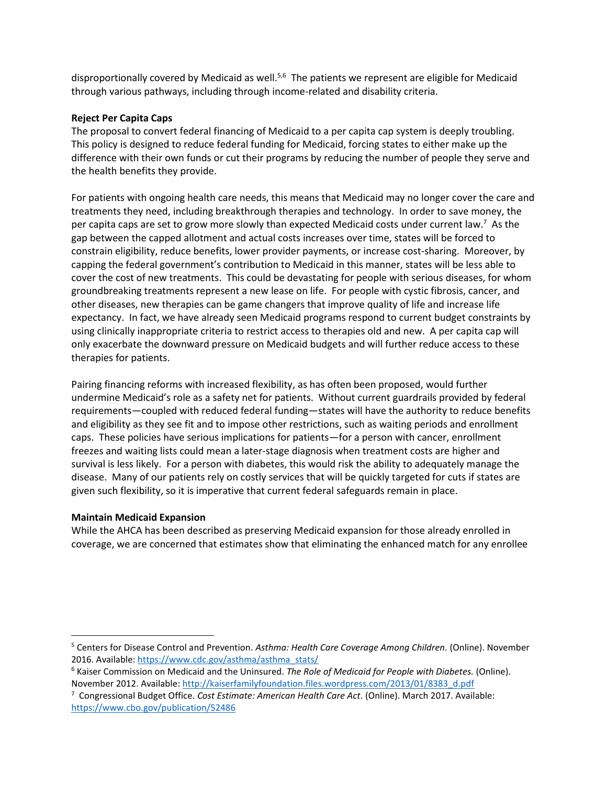disproportionally covered by Medicaid as well.<sup>5,6</sup> The patients we represent are eligible for Medicaid through various pathways, including through income-related and disability criteria.

## **Reject Per Capita Caps**

The proposal to convert federal financing of Medicaid to a per capita cap system is deeply troubling. This policy is designed to reduce federal funding for Medicaid, forcing states to either make up the difference with their own funds or cut their programs by reducing the number of people they serve and the health benefits they provide.

For patients with ongoing health care needs, this means that Medicaid may no longer cover the care and treatments they need, including breakthrough therapies and technology. In order to save money, the per capita caps are set to grow more slowly than expected Medicaid costs under current law.<sup>7</sup> As the gap between the capped allotment and actual costs increases over time, states will be forced to constrain eligibility, reduce benefits, lower provider payments, or increase cost-sharing. Moreover, by capping the federal government's contribution to Medicaid in this manner, states will be less able to cover the cost of new treatments. This could be devastating for people with serious diseases, for whom groundbreaking treatments represent a new lease on life. For people with cystic fibrosis, cancer, and other diseases, new therapies can be game changers that improve quality of life and increase life expectancy. In fact, we have already seen Medicaid programs respond to current budget constraints by using clinically inappropriate criteria to restrict access to therapies old and new. A per capita cap will only exacerbate the downward pressure on Medicaid budgets and will further reduce access to these therapies for patients.

Pairing financing reforms with increased flexibility, as has often been proposed, would further undermine Medicaid's role as a safety net for patients. Without current guardrails provided by federal requirements—coupled with reduced federal funding—states will have the authority to reduce benefits and eligibility as they see fit and to impose other restrictions, such as waiting periods and enrollment caps. These policies have serious implications for patients—for a person with cancer, enrollment freezes and waiting lists could mean a later-stage diagnosis when treatment costs are higher and survival is less likely. For a person with diabetes, this would risk the ability to adequately manage the disease. Many of our patients rely on costly services that will be quickly targeted for cuts if states are given such flexibility, so it is imperative that current federal safeguards remain in place.

## **Maintain Medicaid Expansion**

 $\overline{a}$ 

While the AHCA has been described as preserving Medicaid expansion for those already enrolled in coverage, we are concerned that estimates show that eliminating the enhanced match for any enrollee

<sup>5</sup> Centers for Disease Control and Prevention. *Asthma: Health Care Coverage Among Children.* (Online). November 2016. Available: [https://www.cdc.gov/asthma/asthma\\_stats/](https://www.cdc.gov/asthma/asthma_stats/)

<sup>6</sup> Kaiser Commission on Medicaid and the Uninsured. *The Role of Medicaid for People with Diabetes.* (Online). November 2012. Available: [http://kaiserfamilyfoundation.files.wordpress.com/2013/01/8383\\_d.pdf](http://kaiserfamilyfoundation.files.wordpress.com/2013/01/8383_d.pdf) 

<sup>7</sup> Congressional Budget Office. *Cost Estimate: American Health Care Act*. (Online). March 2017. Available: <https://www.cbo.gov/publication/52486>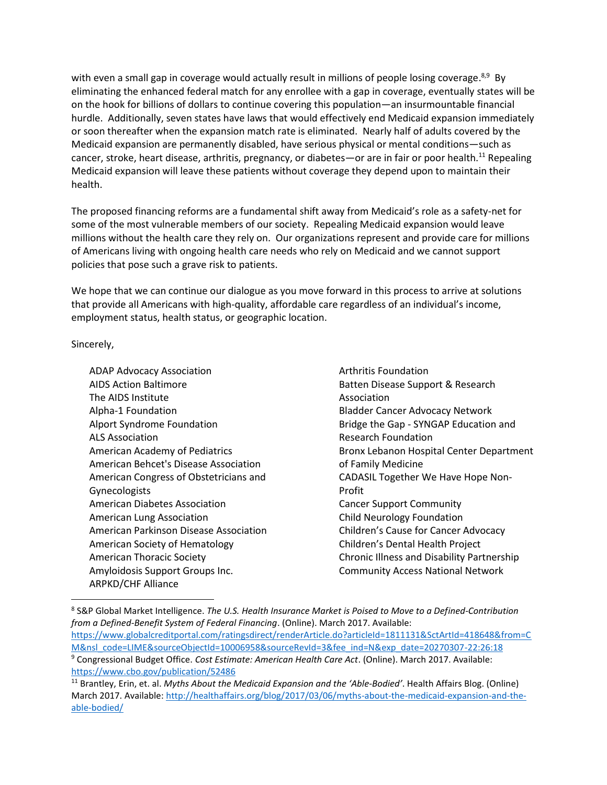with even a small gap in coverage would actually result in millions of people losing coverage.<sup>8,9</sup> By eliminating the enhanced federal match for any enrollee with a gap in coverage, eventually states will be on the hook for billions of dollars to continue covering this population—an insurmountable financial hurdle. Additionally, seven states have laws that would effectively end Medicaid expansion immediately or soon thereafter when the expansion match rate is eliminated. Nearly half of adults covered by the Medicaid expansion are permanently disabled, have serious physical or mental conditions—such as cancer, stroke, heart disease, arthritis, pregnancy, or diabetes—or are in fair or poor health.<sup>11</sup> Repealing Medicaid expansion will leave these patients without coverage they depend upon to maintain their health.

The proposed financing reforms are a fundamental shift away from Medicaid's role as a safety-net for some of the most vulnerable members of our society. Repealing Medicaid expansion would leave millions without the health care they rely on. Our organizations represent and provide care for millions of Americans living with ongoing health care needs who rely on Medicaid and we cannot support policies that pose such a grave risk to patients.

We hope that we can continue our dialogue as you move forward in this process to arrive at solutions that provide all Americans with high-quality, affordable care regardless of an individual's income, employment status, health status, or geographic location.

Sincerely,

 $\overline{\phantom{a}}$ 

ADAP Advocacy Association AIDS Action Baltimore The AIDS Institute Alpha-1 Foundation Alport Syndrome Foundation ALS Association American Academy of Pediatrics American Behcet's Disease Association American Congress of Obstetricians and Gynecologists American Diabetes Association American Lung Association American Parkinson Disease Association American Society of Hematology American Thoracic Society Amyloidosis Support Groups Inc. ARPKD/CHF Alliance

Arthritis Foundation Batten Disease Support & Research Association Bladder Cancer Advocacy Network Bridge the Gap - SYNGAP Education and Research Foundation Bronx Lebanon Hospital Center Department of Family Medicine CADASIL Together We Have Hope Non-Profit Cancer Support Community Child Neurology Foundation Children's Cause for Cancer Advocacy Children's Dental Health Project Chronic Illness and Disability Partnership Community Access National Network

<sup>8</sup> S&P Global Market Intelligence. *The U.S. Health Insurance Market is Poised to Move to a Defined-Contribution from a Defined-Benefit System of Federal Financing*. (Online). March 2017. Available: [https://www.globalcreditportal.com/ratingsdirect/renderArticle.do?articleId=1811131&SctArtId=418648&from=C](https://www.globalcreditportal.com/ratingsdirect/renderArticle.do?articleId=1811131&SctArtId=418648&from=CM&nsl_code=LIME&sourceObjectId=10006958&sourceRevId=3&fee_ind=N&exp_date=20270307-22:26:18) [M&nsl\\_code=LIME&sourceObjectId=10006958&sourceRevId=3&fee\\_ind=N&exp\\_date=20270307-22:26:18](https://www.globalcreditportal.com/ratingsdirect/renderArticle.do?articleId=1811131&SctArtId=418648&from=CM&nsl_code=LIME&sourceObjectId=10006958&sourceRevId=3&fee_ind=N&exp_date=20270307-22:26:18) <sup>9</sup> Congressional Budget Office. *Cost Estimate: American Health Care Act*. (Online). March 2017. Available: <https://www.cbo.gov/publication/52486>

<sup>11</sup> Brantley, Erin, et. al. *Myths About the Medicaid Expansion and the 'Able-Bodied'*. Health Affairs Blog. (Online) March 2017. Available[: http://healthaffairs.org/blog/2017/03/06/myths-about-the-medicaid-expansion-and-the](http://healthaffairs.org/blog/2017/03/06/myths-about-the-medicaid-expansion-and-the-able-bodied/)[able-bodied/](http://healthaffairs.org/blog/2017/03/06/myths-about-the-medicaid-expansion-and-the-able-bodied/)